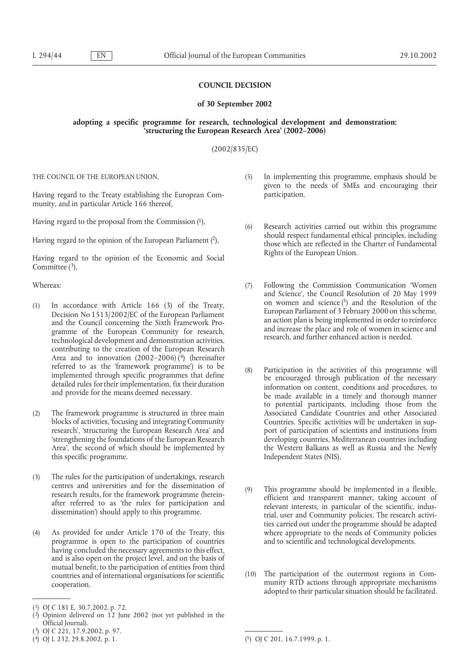# **COUNCIL DECISION**

#### **of 30 September 2002**

### **adopting a specific programme for research, technological development and demonstration: 'structuring the European Research Area' (2002–2006)**

# (2002/835/EC)

THE COUNCIL OF THE EUROPEAN UNION,

Having regard to the Treaty establishing the European Community, and in particular Article 166 thereof,

Having regard to the proposal from the Commission (1),

Having regard to the opinion of the European Parliament  $(2)$ ,

Having regard to the opinion of the Economic and Social Committee  $(3)$ ,

Whereas:

- (1) In accordance with Article 166 (3) of the Treaty, Decision No 1513/2002/EC of the European Parliament and the Council concerning the Sixth Framework Programme of the European Community for research, technological development and demonstration activities, contributing to the creation of the European Research Area and to innovation  $(2002–2006)$  (4) (hereinafter referred to as the 'framework programme') is to be implemented through specific programmes that define detailed rules for their implementation, fix their duration and provide for the means deemed necessary.
- (2) The framework programme is structured in three main blocks of activities, 'focusing and integrating Community research', 'structuring the European Research Area' and 'strengthening the foundations of the European Research Area', the second of which should be implemented by this specific programme.
- (3) The rules for the participation of undertakings, research centres and universities and for the dissemination of research results, for the framework programme (hereinafter referred to as 'the rules for participation and dissemination') should apply to this programme.
- (4) As provided for under Article 170 of the Treaty, this programme is open to the participation of countries having concluded the necessary agreements to this effect, and is also open on the project level, and on the basis of mutual benefit, to the participation of entities from third countries and of international organisations for scientific cooperation.
- (5) In implementing this programme, emphasis should be given to the needs of SMEs and encouraging their participation.
- (6) Research activities carried out within this programme should respect fundamental ethical principles, including those which are reflected in the Charter of Fundamental Rights of the European Union.
- (7) Following the Commission Communication 'Women and Science', the Council Resolution of 20 May 1999 on women and science  $(5)$  and the Resolution of the European Parliament of 3 February 2000 on this scheme, an action plan is being implemented in order to reinforce and increase the place and role of women in science and research, and further enhanced action is needed.
- (8) Participation in the activities of this programme will be encouraged through publication of the necessary information on content, conditions and procedures, to be made available in a timely and thorough manner to potential participants, including those from the Associated Candidate Countries and other Associated Countries. Specific activities will be undertaken in support of participation of scientists and institutions from developing countries, Mediterranean countries including the Western Balkans as well as Russia and the Newly Independent States (NIS).
- (9) This programme should be implemented in a flexible, efficient and transparent manner, taking account of relevant interests, in particular of the scientific, industrial, user and Community policies. The research activities carried out under the programme should be adapted where appropriate to the needs of Community policies and to scientific and technological developments.
- (10) The participation of the outermost regions in Community RTD actions through appropriate mechanisms adopted to their particular situation should be facilitated.

<sup>(1)</sup> OJ C 181 E, 30.7.2002, p. 72.

<sup>(2)</sup> Opinion delivered on 12 June 2002 (not yet published in the Official Journal).

<sup>(</sup>3) OJ C 221, 17.9.2002, p. 97.

<sup>(4)</sup> OJ L 232, 29.8.2002, p. 1.

<sup>(5)</sup> OJ C 201, 16.7.1999, p. 1.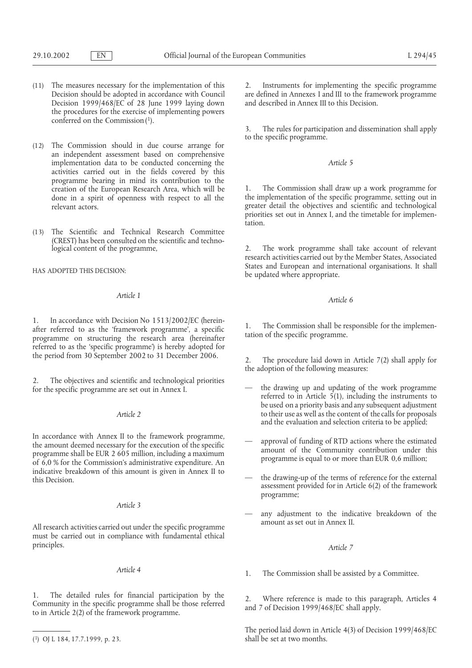- (11) The measures necessary for the implementation of this Decision should be adopted in accordance with Council Decision 1999/468/EC of 28 June 1999 laying down the procedures for the exercise of implementing powers conferred on the Commission<sup>(1)</sup>.
- (12) The Commission should in due course arrange for an independent assessment based on comprehensive implementation data to be conducted concerning the activities carried out in the fields covered by this programme bearing in mind its contribution to the creation of the European Research Area, which will be done in a spirit of openness with respect to all the relevant actors.
- (13) The Scientific and Technical Research Committee (CREST) has been consulted on the scientific and technological content of the programme,

HAS ADOPTED THIS DECISION:

### *Article 1*

1. In accordance with Decision No 1513/2002/EC (hereinafter referred to as the 'framework programme', a specific programme on structuring the research area (hereinafter referred to as the 'specific programme') is hereby adopted for the period from 30 September 2002 to 31 December 2006.

2. The objectives and scientific and technological priorities for the specific programme are set out in Annex I.

# *Article 2*

In accordance with Annex II to the framework programme, the amount deemed necessary for the execution of the specific programme shall be EUR 2 605 million, including a maximum of 6,0 % for the Commission's administrative expenditure. An indicative breakdown of this amount is given in Annex II to this Decision.

#### *Article 3*

All research activities carried out under the specific programme must be carried out in compliance with fundamental ethical principles.

#### *Article 4*

1. The detailed rules for financial participation by the Community in the specific programme shall be those referred to in Article 2(2) of the framework programme.

2. Instruments for implementing the specific programme are defined in Annexes I and III to the framework programme and described in Annex III to this Decision.

3. The rules for participation and dissemination shall apply to the specific programme.

### *Article 5*

1. The Commission shall draw up a work programme for the implementation of the specific programme, setting out in greater detail the objectives and scientific and technological priorities set out in Annex I, and the timetable for implemen-.<br>tation

2. The work programme shall take account of relevant research activities carried out by the Member States, Associated States and European and international organisations. It shall be updated where appropriate.

### *Article 6*

1. The Commission shall be responsible for the implementation of the specific programme.

The procedure laid down in Article  $7(2)$  shall apply for the adoption of the following measures:

- the drawing up and updating of the work programme referred to in Article  $\vec{5}(1)$ , including the instruments to be used on a priority basis and any subsequent adjustment to their use as well as the content of the calls for proposals and the evaluation and selection criteria to be applied;
- approval of funding of RTD actions where the estimated amount of the Community contribution under this programme is equal to or more than EUR 0,6 million;
- the drawing-up of the terms of reference for the external assessment provided for in Article 6(2) of the framework programme;
- any adjustment to the indicative breakdown of the amount as set out in Annex II.

### *Article 7*

1. The Commission shall be assisted by a Committee.

2. Where reference is made to this paragraph, Articles 4 and 7 of Decision 1999/468/EC shall apply.

The period laid down in Article 4(3) of Decision 1999/468/EC shall be set at two months.

<sup>(1)</sup> OJ L 184, 17.7.1999, p. 23.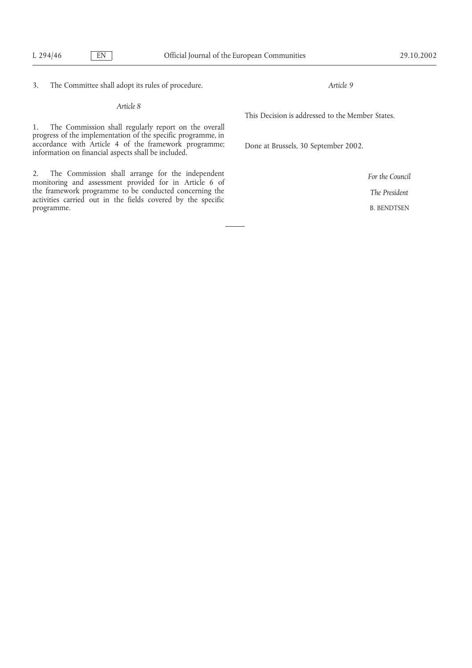3. The Committee shall adopt its rules of procedure.

*Article 8*

1. The Commission shall regularly report on the overall progress of the implementation of the specific programme, in accordance with Article 4 of the framework programme; information on financial aspects shall be included.

2. The Commission shall arrange for the independent monitoring and assessment provided for in Article 6 of the framework programme to be conducted concerning the activities carried out in the fields covered by the specific programme.

*Article 9*

This Decision is addressed to the Member States.

Done at Brussels, 30 September 2002.

*For the Council The President* B. BENDTSEN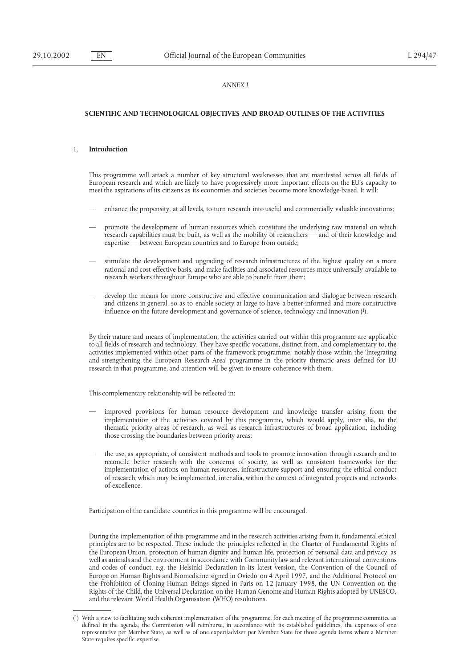## *ANNEX I*

#### **SCIENTIFIC AND TECHNOLOGICAL OBJECTIVES AND BROAD OUTLINES OF THE ACTIVITIES**

#### 1. **Introduction**

This programme will attack a number of key structural weaknesses that are manifested across all fields of European research and which are likely to have progressively more important effects on the EU's capacity to meet the aspirations of its citizens as its economies and societies become more knowledge-based. It will:

- enhance the propensity, at all levels, to turn research into useful and commercially valuable innovations;
- promote the development of human resources which constitute the underlying raw material on which research capabilities must be built, as well as the mobility of researchers — and of their knowledge and expertise — between European countries and to Europe from outside;
- stimulate the development and upgrading of research infrastructures of the highest quality on a more rational and cost-effective basis, and make facilities and associated resources more universally available to research workers throughout Europe who are able to benefit from them;
- develop the means for more constructive and effective communication and dialogue between research and citizens in general, so as to enable society at large to have a better-informed and more constructive influence on the future development and governance of science, technology and innovation (1).

By their nature and means of implementation, the activities carried out within this programme are applicable to all fields of research and technology. They have specific vocations, distinct from, and complementary to, the activities implemented within other parts of the framework programme, notably those within the 'Integrating and strengthening the European Research Area' programme in the priority thematic areas defined for EU research in that programme, and attention will be given to ensure coherence with them.

This complementary relationship will be reflected in:

- improved provisions for human resource development and knowledge transfer arising from the implementation of the activities covered by this programme, which would apply, inter alia, to the thematic priority areas of research, as well as research infrastructures of broad application, including those crossing the boundaries between priority areas;
- the use, as appropriate, of consistent methods and tools to promote innovation through research and to reconcile better research with the concerns of society, as well as consistent frameworks for the implementation of actions on human resources, infrastructure support and ensuring the ethical conduct of research, which may be implemented, inter alia, within the context of integrated projects and networks of excellence.

Participation of the candidate countries in this programme will be encouraged.

During the implementation of this programme and in the research activities arising from it, fundamental ethical principles are to be respected. These include the principles reflected in the Charter of Fundamental Rights of the European Union, protection of human dignity and human life, protection of personal data and privacy, as well as animals and the environment in accordance with Community law and relevant international conventions and codes of conduct, e.g. the Helsinki Declaration in its latest version, the Convention of the Council of Europe on Human Rights and Biomedicine signed in Oviedo on 4 April 1997, and the Additional Protocol on the Prohibition of Cloning Human Beings signed in Paris on 12 January 1998, the UN Convention on the Rights of the Child, the Universal Declaration on the Human Genome and Human Rights adopted by UNESCO, and the relevant World Health Organisation (WHO) resolutions.

<sup>(1)</sup> With a view to facilitating such coherent implementation of the programme, for each meeting of the programme committee as defined in the agenda, the Commission will reimburse, in accordance with its established guidelines, the expenses of one representative per Member State, as well as of one expert/adviser per Member State for those agenda items where a Member State requires specific expertise.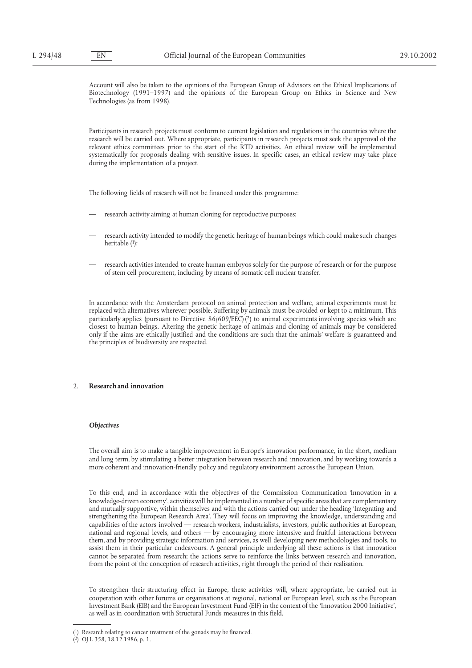Account will also be taken to the opinions of the European Group of Advisors on the Ethical Implications of Biotechnology (1991–1997) and the opinions of the European Group on Ethics in Science and New Technologies (as from 1998).

Participants in research projects must conform to current legislation and regulations in the countries where the research will be carried out. Where appropriate, participants in research projects must seek the approval of the relevant ethics committees prior to the start of the RTD activities. An ethical review will be implemented systematically for proposals dealing with sensitive issues. In specific cases, an ethical review may take place during the implementation of a project.

The following fields of research will not be financed under this programme:

- research activity aiming at human cloning for reproductive purposes;
- research activity intended to modify the genetic heritage of human beings which could make such changes heritable (1);
- research activities intended to create human embryos solely for the purpose of research or for the purpose of stem cell procurement, including by means of somatic cell nuclear transfer.

In accordance with the Amsterdam protocol on animal protection and welfare, animal experiments must be replaced with alternatives wherever possible. Suffering by animals must be avoided or kept to a minimum. This particularly applies (pursuant to Directive 86/609/EEC) (2) to animal experiments involving species which are closest to human beings. Altering the genetic heritage of animals and cloning of animals may be considered only if the aims are ethically justified and the conditions are such that the animals' welfare is guaranteed and the principles of biodiversity are respected.

# 2. **Research and innovation**

### *Objectives*

The overall aim is to make a tangible improvement in Europe's innovation performance, in the short, medium and long term, by stimulating a better integration between research and innovation, and by working towards a more coherent and innovation-friendly policy and regulatory environment across the European Union.

To this end, and in accordance with the objectives of the Commission Communication 'Innovation in a knowledge-driven economy', activities will be implemented in a number of specific areas that are complementary and mutually supportive, within themselves and with the actions carried out under the heading 'Integrating and strengthening the European Research Area'. They will focus on improving the knowledge, understanding and capabilities of the actors involved — research workers, industrialists, investors, public authorities at European, national and regional levels, and others — by encouraging more intensive and fruitful interactions between them, and by providing strategic information and services, as well developing new methodologies and tools, to assist them in their particular endeavours. A general principle underlying all these actions is that innovation cannot be separated from research; the actions serve to reinforce the links between research and innovation, from the point of the conception of research activities, right through the period of their realisation.

To strengthen their structuring effect in Europe, these activities will, where appropriate, be carried out in cooperation with other forums or organisations at regional, national or European level, such as the European Investment Bank (EIB) and the European Investment Fund (EIF) in the context of the 'Innovation 2000 Initiative', as well as in coordination with Structural Funds measures in this field.

<sup>(1)</sup> Research relating to cancer treatment of the gonads may be financed.

<sup>(2)</sup> OJ L 358, 18.12.1986, p. 1.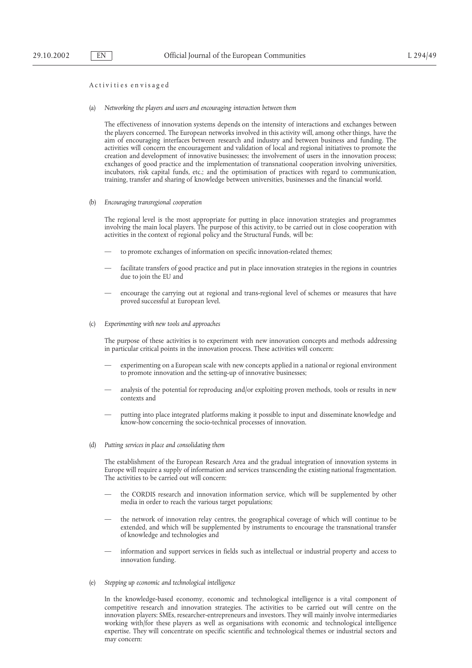# Activi ti es en vis aged

(a) *Networking the players and users and encouraging interaction between them*

The effectiveness of innovation systems depends on the intensity of interactions and exchanges between the players concerned. The European networks involved in this activity will, among other things, have the aim of encouraging interfaces between research and industry and between business and funding. The activities will concern the encouragement and validation of local and regional initiatives to promote the creation and development of innovative businesses; the involvement of users in the innovation process; exchanges of good practice and the implementation of transnational cooperation involving universities, incubators, risk capital funds, etc.; and the optimisation of practices with regard to communication, training, transfer and sharing of knowledge between universities, businesses and the financial world.

(b) *Encouraging transregional cooperation*

The regional level is the most appropriate for putting in place innovation strategies and programmes involving the main local players. The purpose of this activity, to be carried out in close cooperation with activities in the context of regional policy and the Structural Funds, will be:

- to promote exchanges of information on specific innovation-related themes;
- facilitate transfers of good practice and put in place innovation strategies in the regions in countries due to join the EU and
- encourage the carrying out at regional and trans-regional level of schemes or measures that have proved successful at European level.
- (c) *Experimenting with new tools and approaches*

The purpose of these activities is to experiment with new innovation concepts and methods addressing in particular critical points in the innovation process. These activities will concern:

- experimenting on a European scale with new concepts applied in a national or regional environment to promote innovation and the setting-up of innovative businesses;
- analysis of the potential for reproducing and/or exploiting proven methods, tools or results in new contexts and
- putting into place integrated platforms making it possible to input and disseminate knowledge and know-how concerning the socio-technical processes of innovation.
- (d) *Putting services in place and consolidating them*

The establishment of the European Research Area and the gradual integration of innovation systems in Europe will require a supply of information and services transcending the existing national fragmentation. The activities to be carried out will concern:

- the CORDIS research and innovation information service, which will be supplemented by other media in order to reach the various target populations;
- the network of innovation relay centres, the geographical coverage of which will continue to be extended, and which will be supplemented by instruments to encourage the transnational transfer of knowledge and technologies and
- information and support services in fields such as intellectual or industrial property and access to innovation funding.
- (e) *Stepping up economic and technological intelligence*

In the knowledge-based economy, economic and technological intelligence is a vital component of competitive research and innovation strategies. The activities to be carried out will centre on the innovation players: SMEs, researcher-entrepreneurs and investors. They will mainly involve intermediaries working with/for these players as well as organisations with economic and technological intelligence expertise. They will concentrate on specific scientific and technological themes or industrial sectors and may concern: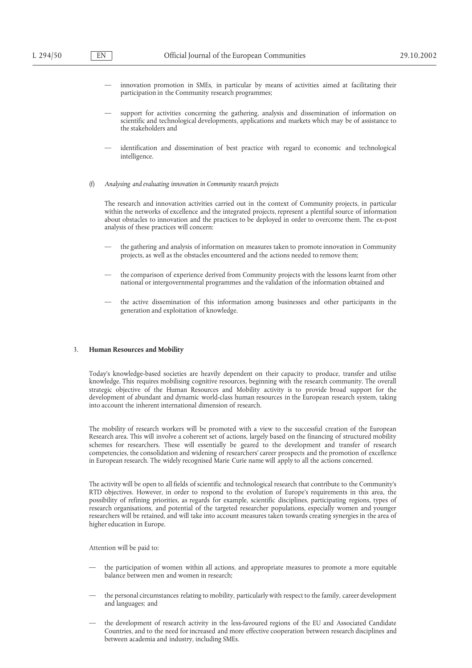- innovation promotion in SMEs, in particular by means of activities aimed at facilitating their participation in the Community research programmes;
- support for activities concerning the gathering, analysis and dissemination of information on scientific and technological developments, applications and markets which may be of assistance to the stakeholders and
- identification and dissemination of best practice with regard to economic and technological intelligence.
- (f) *Analysing and evaluating innovation in Community research projects*

The research and innovation activities carried out in the context of Community projects, in particular within the networks of excellence and the integrated projects, represent a plentiful source of information about obstacles to innovation and the practices to be deployed in order to overcome them. The ex-post analysis of these practices will concern:

- the gathering and analysis of information on measures taken to promote innovation in Community projects, as well as the obstacles encountered and the actions needed to remove them;
- the comparison of experience derived from Community projects with the lessons learnt from other national or intergovernmental programmes and the validation of the information obtained and
- the active dissemination of this information among businesses and other participants in the generation and exploitation of knowledge.

#### 3. **Human Resources and Mobility**

Today's knowledge-based societies are heavily dependent on their capacity to produce, transfer and utilise knowledge. This requires mobilising cognitive resources, beginning with the research community. The overall strategic objective of the Human Resources and Mobility activity is to provide broad support for the development of abundant and dynamic world-class human resources in the European research system, taking into account the inherent international dimension of research.

The mobility of research workers will be promoted with a view to the successful creation of the European Research area. This will involve a coherent set of actions, largely based on the financing of structured mobility schemes for researchers. These will essentially be geared to the development and transfer of research competencies, the consolidation and widening of researchers' career prospects and the promotion of excellence in European research. The widely recognised Marie Curie name will apply to all the actions concerned.

The activity will be open to all fields of scientific and technological research that contribute to the Community's RTD objectives. However, in order to respond to the evolution of Europe's requirements in this area, the possibility of refining priorities, as regards for example, scientific disciplines, participating regions, types of research organisations, and potential of the targeted researcher populations, especially women and younger researchers will be retained, and will take into account measures taken towards creating synergies in the area of higher education in Europe.

Attention will be paid to:

- the participation of women within all actions, and appropriate measures to promote a more equitable balance between men and women in research;
- the personal circumstances relating to mobility, particularly with respect to the family, career development and languages; and
- the development of research activity in the less-favoured regions of the EU and Associated Candidate Countries, and to the need for increased and more effective cooperation between research disciplines and between academia and industry, including SMEs.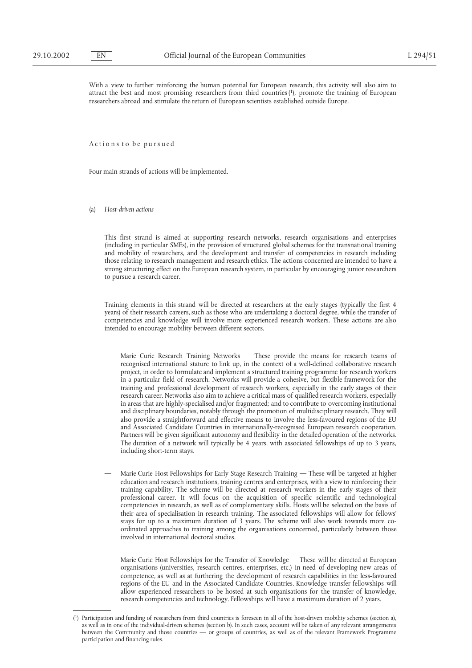With a view to further reinforcing the human potential for European research, this activity will also aim to attract the best and most promising researchers from third countries (1), promote the training of European researchers abroad and stimulate the return of European scientists established outside Europe.

Actions to be pursued

Four main strands of actions will be implemented.

(a) *Host-driven actions*

This first strand is aimed at supporting research networks, research organisations and enterprises (including in particular SMEs), in the provision of structured global schemes for the transnational training and mobility of researchers, and the development and transfer of competencies in research including those relating to research management and research ethics. The actions concerned are intended to have a strong structuring effect on the European research system, in particular by encouraging junior researchers to pursue a research career.

Training elements in this strand will be directed at researchers at the early stages (typically the first 4 years) of their research careers, such as those who are undertaking a doctoral degree, while the transfer of competencies and knowledge will involve more experienced research workers. These actions are also intended to encourage mobility between different sectors.

- Marie Curie Research Training Networks These provide the means for research teams of recognised international stature to link up, in the context of a well-defined collaborative research project, in order to formulate and implement a structured training programme for research workers in a particular field of research. Networks will provide a cohesive, but flexible framework for the training and professional development of research workers, especially in the early stages of their research career. Networks also aim to achieve a critical mass of qualified research workers, especially in areas that are highly-specialised and/or fragmented; and to contribute to overcoming institutional and disciplinary boundaries, notably through the promotion of multidisciplinary research. They will also provide a straightforward and effective means to involve the less-favoured regions of the EU and Associated Candidate Countries in internationally-recognised European research cooperation. Partners will be given significant autonomy and flexibility in the detailed operation of the networks. The duration of a network will typically be 4 years, with associated fellowships of up to 3 years, including short-term stays.
- Marie Curie Host Fellowships for Early Stage Research Training These will be targeted at higher education and research institutions, training centres and enterprises, with a view to reinforcing their training capability. The scheme will be directed at research workers in the early stages of their professional career. It will focus on the acquisition of specific scientific and technological competencies in research, as well as of complementary skills. Hosts will be selected on the basis of their area of specialisation in research training. The associated fellowships will allow for fellows' stays for up to a maximum duration of 3 years. The scheme will also work towards more coordinated approaches to training among the organisations concerned, particularly between those involved in international doctoral studies.
- Marie Curie Host Fellowships for the Transfer of Knowledge These will be directed at European organisations (universities, research centres, enterprises, etc.) in need of developing new areas of competence, as well as at furthering the development of research capabilities in the less-favoured regions of the EU and in the Associated Candidate Countries. Knowledge transfer fellowships will allow experienced researchers to be hosted at such organisations for the transfer of knowledge, research competencies and technology. Fellowships will have a maximum duration of 2 years.

<sup>(1)</sup> Participation and funding of researchers from third countries is foreseen in all of the host-driven mobility schemes (section a), as well as in one of the individual-driven schemes (section b). In such cases, account will be taken of any relevant arrangements between the Community and those countries — or groups of countries, as well as of the relevant Framework Programme participation and financing rules.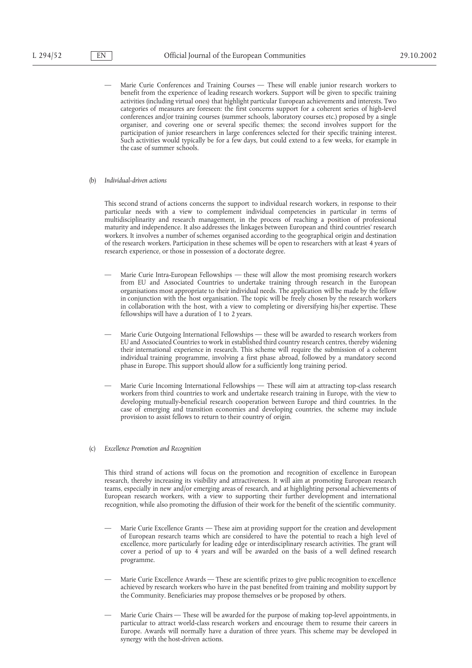- Marie Curie Conferences and Training Courses These will enable junior research workers to benefit from the experience of leading research workers. Support will be given to specific training activities (including virtual ones) that highlight particular European achievements and interests. Two categories of measures are foreseen: the first concerns support for a coherent series of high-level conferences and/or training courses (summer schools, laboratory courses etc.) proposed by a single organiser, and covering one or several specific themes; the second involves support for the participation of junior researchers in large conferences selected for their specific training interest. Such activities would typically be for a few days, but could extend to a few weeks, for example in the case of summer schools.
- (b) *Individual-driven actions*

This second strand of actions concerns the support to individual research workers, in response to their particular needs with a view to complement individual competencies in particular in terms of multidisciplinarity and research management, in the process of reaching a position of professional maturity and independence. It also addresses the linkages between European and third countries' research workers. It involves a number of schemes organised according to the geographical origin and destination of the research workers. Participation in these schemes will be open to researchers with at least 4 years of research experience, or those in possession of a doctorate degree.

- Marie Curie Intra-European Fellowships these will allow the most promising research workers from EU and Associated Countries to undertake training through research in the European organisations most appropriate to their individual needs. The application will be made by the fellow in conjunction with the host organisation. The topic will be freely chosen by the research workers in collaboration with the host, with a view to completing or diversifying his/her expertise. These fellowships will have a duration of 1 to 2 years.
- Marie Curie Outgoing International Fellowships these will be awarded to research workers from EU and Associated Countries to work in established third country research centres, thereby widening their international experience in research. This scheme will require the submission of a coherent individual training programme, involving a first phase abroad, followed by a mandatory second phase in Europe. This support should allow for a sufficiently long training period.
- Marie Curie Incoming International Fellowships These will aim at attracting top-class research workers from third countries to work and undertake research training in Europe, with the view to developing mutually-beneficial research cooperation between Europe and third countries. In the case of emerging and transition economies and developing countries, the scheme may include provision to assist fellows to return to their country of origin.
- (c) *Excellence Promotion and Recognition*

This third strand of actions will focus on the promotion and recognition of excellence in European research, thereby increasing its visibility and attractiveness. It will aim at promoting European research teams, especially in new and/or emerging areas of research, and at highlighting personal achievements of European research workers, with a view to supporting their further development and international recognition, while also promoting the diffusion of their work for the benefit of the scientific community.

- Marie Curie Excellence Grants These aim at providing support for the creation and development of European research teams which are considered to have the potential to reach a high level of excellence, more particularly for leading edge or interdisciplinary research activities. The grant will cover a period of up to  $\vec{4}$  years and will be awarded on the basis of a well defined research programme.
- Marie Curie Excellence Awards These are scientific prizes to give public recognition to excellence achieved by research workers who have in the past benefited from training and mobility support by the Community. Beneficiaries may propose themselves or be proposed by others.
- Marie Curie Chairs These will be awarded for the purpose of making top-level appointments, in particular to attract world-class research workers and encourage them to resume their careers in Europe. Awards will normally have a duration of three years. This scheme may be developed in synergy with the host-driven actions.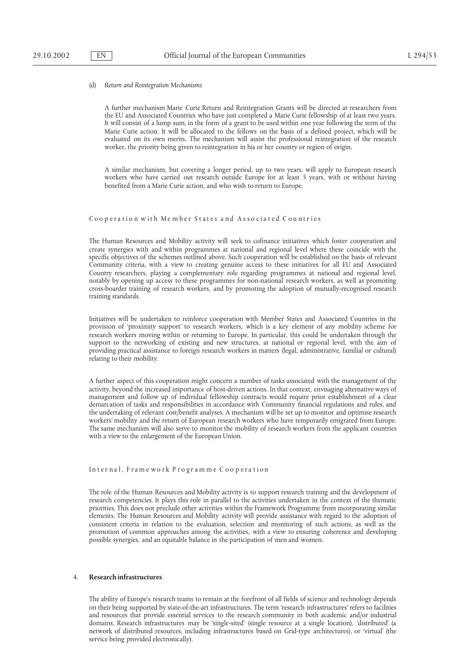#### (d) *Return and Reintegration Mechanisms*

A further mechanism Marie Curie Return and Reintegration Grants will be directed at researchers from the EU and Associated Countries who have just completed a Marie Curie fellowship of at least two years. It will consist of a lump sum, in the form of a grant to be used within one year following the term of the Marie Curie action. It will be allocated to the fellows on the basis of a defined project, which will be evaluated on its own merits. The mechanism will assist the professional reintegration of the research worker, the priority being given to reintegration in his or her country or region of origin.

A similar mechanism, but covering a longer period, up to two years, will apply to European research workers who have carried out research outside Europe for at least 5 years, with or without having benefited from a Marie Curie action, and who wish to return to Europe.

#### Cooperation with Member States and Associated Countries

The Human Resources and Mobility activity will seek to cofinance initiatives which foster cooperation and create synergies with and within programmes at national and regional level where these coincide with the specific objectives of the schemes outlined above. Such cooperation will be established on the basis of relevant Community criteria, with a view to creating genuine access to these initiatives for all EU and Associated Country researchers, playing a complementary role regarding programmes at national and regional level, notably by opening up access to these programmes for non-national research workers, as well as promoting cross-boarder training of research workers, and by promoting the adoption of mutually-recognised research training standards.

Initiatives will be undertaken to reinforce cooperation with Member States and Associated Countries in the provision of 'proximity support' to research workers, which is a key element of any mobility scheme for research workers moving within or returning to Europe. In particular, this could be undertaken through the support to the networking of existing and new structures, at national or regional level, with the aim of providing practical assistance to foreign research workers in matters (legal, administrative, familial or cultural) relating to their mobility.

A further aspect of this cooperation might concern a number of tasks associated with the management of the activity, beyond the increased importance of host-driven actions. In that context, envisaging alternative ways of management and follow up of individual fellowship contracts would require prior establishment of a clear demarcation of tasks and responsibilities in accordance with Community financial regulations and rules, and the undertaking of relevant cost/benefit analyses. A mechanism will be set up to monitor and optimise research workers' mobility and the return of European research workers who have temporarily emigrated from Europe. The same mechanism will also serve to monitor the mobility of research workers from the applicant countries with a view to the enlargement of the European Union.

#### In ter na l, F rame wo rk P ro gr amme C oo p era tion

The role of the Human Resources and Mobility activity is to support research training and the development of research competencies. It plays this role in parallel to the activities undertaken in the context of the thematic priorities. This does not preclude other activities within the Framework Programme from incorporating similar elements. The Human Resources and Mobility activity will provide assistance with regard to the adoption of consistent criteria in relation to the evaluation, selection and monitoring of such actions, as well as the promotion of common approaches among the activities, with a view to ensuring coherence and developing possible synergies, and an equitable balance in the participation of men and women.

#### 4. **Research infrastructures**

The ability of Europe's research teams to remain at the forefront of all fields of science and technology depends on their being supported by state-of-the-art infrastructures. The term 'research infrastructures' refers to facilities and resources that provide essential services to the research community in both academic and/or industrial domains. Research infrastructures may be 'single-sited' (single resource at a single location), 'distributed' (a network of distributed resources, including infrastructures based on Grid-type architectures), or 'virtual' (the service being provided electronically).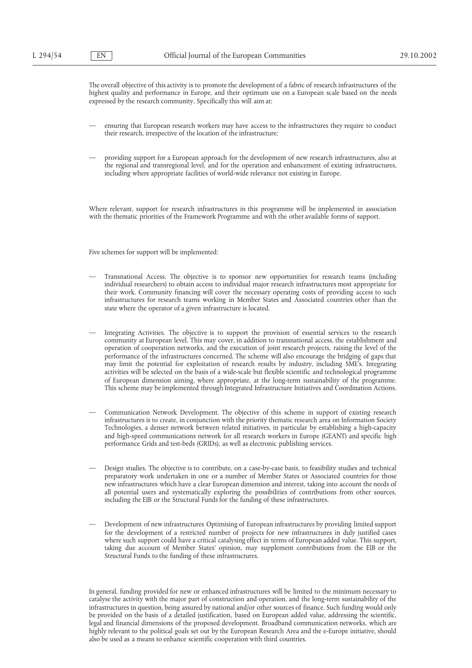The overall objective of this activity is to promote the development of a fabric of research infrastructures of the highest quality and performance in Europe, and their optimum use on a European scale based on the needs expressed by the research community. Specifically this will aim at:

- ensuring that European research workers may have access to the infrastructures they require to conduct their research, irrespective of the location of the infrastructure;
- providing support for a European approach for the development of new research infrastructures, also at the regional and transregional level, and for the operation and enhancement of existing infrastructures, including where appropriate facilities of world-wide relevance not existing in Europe.

Where relevant, support for research infrastructures in this programme will be implemented in association with the thematic priorities of the Framework Programme and with the other available forms of support.

Five schemes for support will be implemented:

- Transnational Access. The objective is to sponsor new opportunities for research teams (including individual researchers) to obtain access to individual major research infrastructures most appropriate for their work. Community financing will cover the necessary operating costs of providing access to such infrastructures for research teams working in Member States and Associated countries other than the state where the operator of a given infrastructure is located.
- Integrating Activities. The objective is to support the provision of essential services to the research community at European level. This may cover, in addition to transnational access, the establishment and operation of cooperation networks, and the execution of joint research projects, raising the level of the performance of the infrastructures concerned. The scheme will also encourage the bridging of gaps that may limit the potential for exploitation of research results by industry, including SME's. Integrating activities will be selected on the basis of a wide-scale but flexible scientific and technological programme of European dimension aiming, where appropriate, at the long-term sustainability of the programme. This scheme may be implemented through Integrated Infrastructure Initiatives and Coordination Actions.
- Communication Network Development. The objective of this scheme in support of existing research infrastructures is to create, in conjunction with the priority thematic research area on Information Society Technologies, a denser network between related initiatives, in particular by establishing a high-capacity and high-speed communications network for all research workers in Europe (GEANT) and specific high performance Grids and test-beds (GRIDs), as well as electronic publishing services.
- Design studies. The objective is to contribute, on a case-by-case basis, to feasibility studies and technical preparatory work undertaken in one or a number of Member States or Associated countries for those new infrastructures which have a clear European dimension and interest, taking into account the needs of all potential users and systematically exploring the possibilities of contributions from other sources, including the EIB or the Structural Funds for the funding of these infrastructures.
- Development of new infrastructures Optimising of European infrastructures by providing limited support for the development of a restricted number of projects for new infrastructures in duly justified cases where such support could have a critical catalysing effect in terms of European added value. This support, taking due account of Member States' opinion, may supplement contributions from the EIB or the Structural Funds to the funding of these infrastructures.

In general, funding provided for new or enhanced infrastructures will be limited to the minimum necessary to catalyse the activity with the major part of construction and operation, and the long-term sustainability of the infrastructures in question, being assured by national and/or other sources of finance. Such funding would only be provided on the basis of a detailed justification, based on European added value, addressing the scientific, legal and financial dimensions of the proposed development. Broadband communication networks, which are highly relevant to the political goals set out by the European Research Area and the e-Europe initiative, should also be used as a means to enhance scientific cooperation with third countries.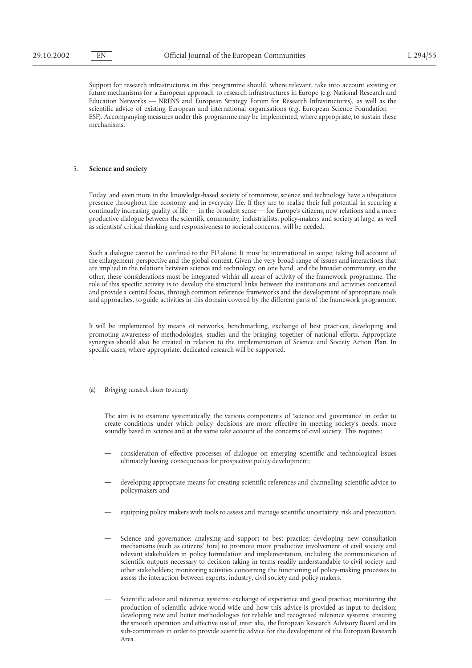Support for research infrastructures in this programme should, where relevant, take into account existing or future mechanisms for a European approach to research infrastructures in Europe (e.g. National Research and Education Networks — NRENS and European Strategy Forum for Research Infrastructures), as well as the scientific advice of existing European and international organisations (e.g. European Science Foundation — ESF). Accompanying measures under this programme may be implemented, where appropriate, to sustain these mechanisms.

# 5. **Science and society**

Today, and even more in the knowledge-based society of tomorrow, science and technology have a ubiquitous presence throughout the economy and in everyday life. If they are to realise their full potential in securing a continually increasing quality of life — in the broadest sense — for Europe's citizens, new relations and a more productive dialogue between the scientific community, industrialists, policy-makers and society at large, as well as scientists' critical thinking and responsiveness to societal concerns, will be needed.

Such a dialogue cannot be confined to the EU alone. It must be international in scope, taking full account of the enlargement perspective and the global context. Given the very broad range of issues and interactions that are implied in the relations between science and technology, on one hand, and the broader community, on the other, these considerations must be integrated within all areas of activity of the framework programme. The role of this specific activity is to develop the structural links between the institutions and activities concerned and provide a central focus, through common reference frameworks and the development of appropriate tools and approaches, to guide activities in this domain covered by the different parts of the framework programme.

It will be implemented by means of networks, benchmarking, exchange of best practices, developing and promoting awareness of methodologies, studies and the bringing together of national efforts. Appropriate synergies should also be created in relation to the implementation of Science and Society Action Plan. In specific cases, where appropriate, dedicated research will be supported.

(a) *Bringing research closer to society*

The aim is to examine systematically the various components of 'science and governance' in order to create conditions under which policy decisions are more effective in meeting society's needs, more soundly based in science and at the same take account of the concerns of civil society. This requires:

- consideration of effective processes of dialogue on emerging scientific and technological issues ultimately having consequences for prospective policy development;
- developing appropriate means for creating scientific references and channelling scientific advice to policymakers and
- equipping policy makers with tools to assess and manage scientific uncertainty, risk and precaution.
- Science and governance: analysing and support to best practice; developing new consultation mechanisms (such as citizens' fora) to promote more productive involvement of civil society and relevant stakeholders in policy formulation and implementation, including the communication of scientific outputs necessary to decision taking in terms readily understandable to civil society and other stakeholders; monitoring activities concerning the functioning of policy-making processes to assess the interaction between experts, industry, civil society and policy makers.
- Scientific advice and reference systems: exchange of experience and good practice; monitoring the production of scientific advice world-wide and how this advice is provided as input to decision; developing new and better methodologies for reliable and recognised reference systems; ensuring the smooth operation and effective use of, inter alia, the European Research Advisory Board and its sub-committees in order to provide scientific advice for the development of the European Research Area.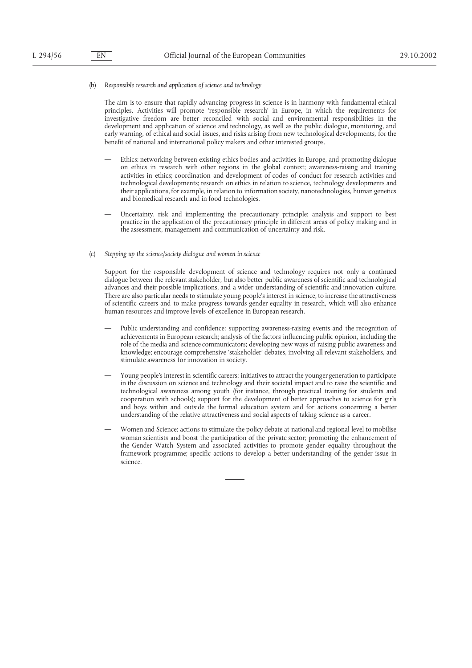### (b) *Responsible research and application of science and technology*

The aim is to ensure that rapidly advancing progress in science is in harmony with fundamental ethical principles. Activities will promote 'responsible research' in Europe, in which the requirements for investigative freedom are better reconciled with social and environmental responsibilities in the development and application of science and technology, as well as the public dialogue, monitoring, and early warning, of ethical and social issues, and risks arising from new technological developments, for the benefit of national and international policy makers and other interested groups.

- Ethics: networking between existing ethics bodies and activities in Europe, and promoting dialogue on ethics in research with other regions in the global context; awareness-raising and training activities in ethics; coordination and development of codes of conduct for research activities and technological developments; research on ethics in relation to science, technology developments and their applications, for example, in relation to information society, nanotechnologies, human genetics and biomedical research and in food technologies.
- Uncertainty, risk and implementing the precautionary principle: analysis and support to best practice in the application of the precautionary principle in different areas of policy making and in the assessment, management and communication of uncertainty and risk.

### (c) *Stepping up the science/society dialogue and women in science*

Support for the responsible development of science and technology requires not only a continued dialogue between the relevant stakeholder, but also better public awareness of scientific and technological advances and their possible implications, and a wider understanding of scientific and innovation culture. There are also particular needs to stimulate young people's interest in science, to increase the attractiveness of scientific careers and to make progress towards gender equality in research, which will also enhance human resources and improve levels of excellence in European research.

- Public understanding and confidence: supporting awareness-raising events and the recognition of achievements in European research; analysis of the factors influencing public opinion, including the role of the media and science communicators; developing new ways of raising public awareness and knowledge; encourage comprehensive 'stakeholder' debates, involving all relevant stakeholders, and stimulate awareness for innovation in society.
- Young people's interest in scientific careers: initiatives to attract the younger generation to participate in the discussion on science and technology and their societal impact and to raise the scientific and technological awareness among youth (for instance, through practical training for students and cooperation with schools); support for the development of better approaches to science for girls and boys within and outside the formal education system and for actions concerning a better understanding of the relative attractiveness and social aspects of taking science as a career.
- Women and Science: actions to stimulate the policy debate at national and regional level to mobilise woman scientists and boost the participation of the private sector; promoting the enhancement of the Gender Watch System and associated activities to promote gender equality throughout the framework programme; specific actions to develop a better understanding of the gender issue in science.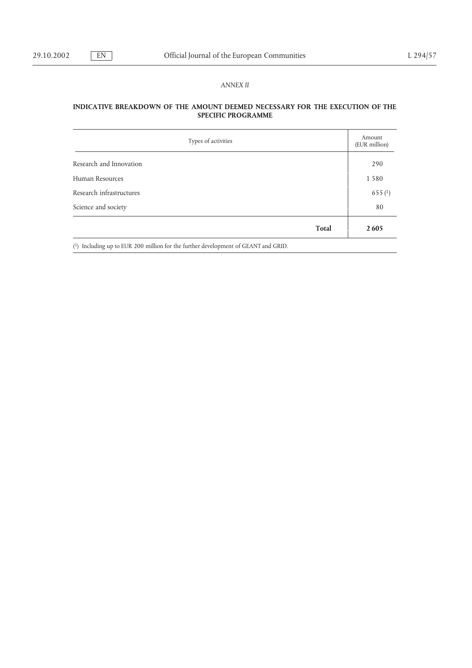# *ANNEX II*

# **INDICATIVE BREAKDOWN OF THE AMOUNT DEEMED NECESSARY FOR THE EXECUTION OF THE SPECIFIC PROGRAMME**

| Types of activities                                                                  | Amount<br>(EUR million) |
|--------------------------------------------------------------------------------------|-------------------------|
| Research and Innovation                                                              | 290                     |
| Human Resources                                                                      | 1 5 8 0                 |
| Research infrastructures                                                             | 655(1)                  |
| Science and society                                                                  | 80                      |
| <b>Total</b>                                                                         | 2605                    |
| $(1)$ Including up to EUR 200 million for the further development of GEANT and GRID. |                         |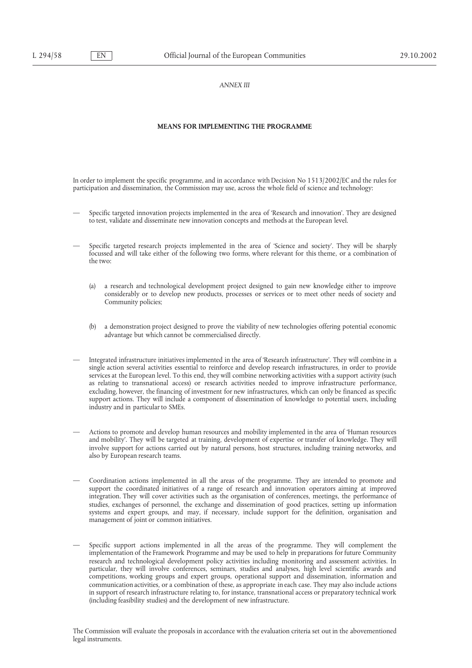### *ANNEX III*

#### **MEANS FOR IMPLEMENTING THE PROGRAMME**

In order to implement the specific programme, and in accordance with Decision No 1513/2002/EC and the rules for participation and dissemination, the Commission may use, across the whole field of science and technology:

- Specific targeted innovation projects implemented in the area of 'Research and innovation'. They are designed to test, validate and disseminate new innovation concepts and methods at the European level.
- Specific targeted research projects implemented in the area of 'Science and society'. They will be sharply focussed and will take either of the following two forms, where relevant for this theme, or a combination of the two:
	- (a) a research and technological development project designed to gain new knowledge either to improve considerably or to develop new products, processes or services or to meet other needs of society and Community policies;
	- (b) a demonstration project designed to prove the viability of new technologies offering potential economic advantage but which cannot be commercialised directly.
- Integrated infrastructure initiatives implemented in the area of 'Research infrastructure'. They will combine in a single action several activities essential to reinforce and develop research infrastructures, in order to provide services at the European level. To this end, they will combine networking activities with a support activity (such as relating to transnational access) or research activities needed to improve infrastructure performance, excluding, however, the financing of investment for new infrastructures, which can only be financed as specific support actions. They will include a component of dissemination of knowledge to potential users, including industry and in particular to SMEs.
- Actions to promote and develop human resources and mobility implemented in the area of 'Human resources and mobility'. They will be targeted at training, development of expertise or transfer of knowledge. They will involve support for actions carried out by natural persons, host structures, including training networks, and also by European research teams.
- Coordination actions implemented in all the areas of the programme. They are intended to promote and support the coordinated initiatives of a range of research and innovation operators aiming at improved integration. They will cover activities such as the organisation of conferences, meetings, the performance of studies, exchanges of personnel, the exchange and dissemination of good practices, setting up information systems and expert groups, and may, if necessary, include support for the definition, organisation and management of joint or common initiatives.
- Specific support actions implemented in all the areas of the programme. They will complement the implementation of the Framework Programme and may be used to help in preparations for future Community research and technological development policy activities including monitoring and assessment activities. In particular, they will involve conferences, seminars, studies and analyses, high level scientific awards and competitions, working groups and expert groups, operational support and dissemination, information and communication activities, or a combination of these, as appropriate in each case. They may also include actions in support of research infrastructure relating to, for instance, transnational access or preparatory technical work (including feasibility studies) and the development of new infrastructure.

The Commission will evaluate the proposals in accordance with the evaluation criteria set out in the abovementioned legal instruments.